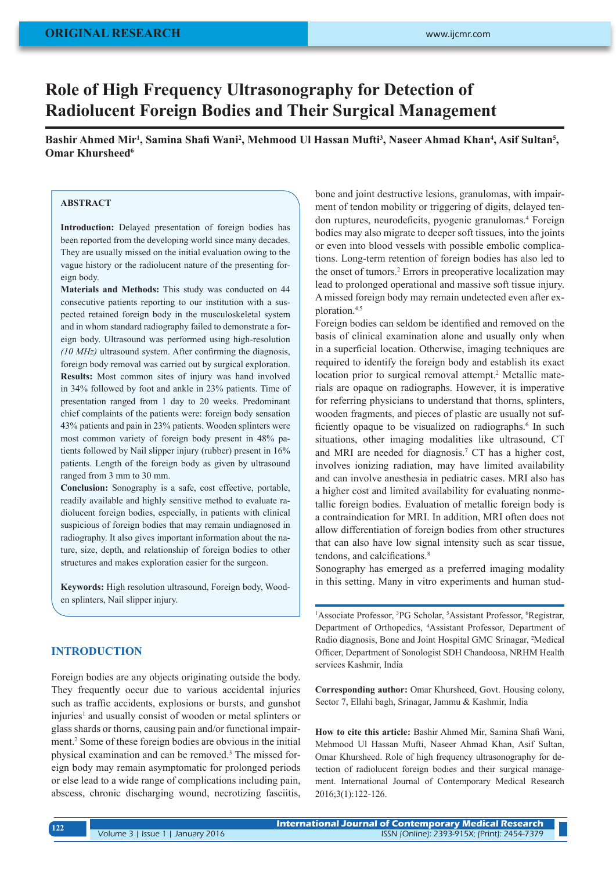# **Role of High Frequency Ultrasonography for Detection of Radiolucent Foreign Bodies and Their Surgical Management**

Bashir Ahmed Mir<sup>1</sup>, Samina Shafi Wani<sup>2</sup>, Mehmood Ul Hassan Mufti<sup>3</sup>, Naseer Ahmad Khan<sup>4</sup>, Asif Sultan<sup>5</sup>, **Omar Khursheed<sup>6</sup>** 

#### **ABSTRACT**

**Introduction:** Delayed presentation of foreign bodies has been reported from the developing world since many decades. They are usually missed on the initial evaluation owing to the vague history or the radiolucent nature of the presenting foreign body.

**Materials and Methods:** This study was conducted on 44 consecutive patients reporting to our institution with a suspected retained foreign body in the musculoskeletal system and in whom standard radiography failed to demonstrate a foreign body. Ultrasound was performed using high-resolution *(10 MHz)* ultrasound system. After confirming the diagnosis, foreign body removal was carried out by surgical exploration. **Results:** Most common sites of injury was hand involved in 34% followed by foot and ankle in 23% patients. Time of presentation ranged from 1 day to 20 weeks. Predominant chief complaints of the patients were: foreign body sensation 43% patients and pain in 23% patients. Wooden splinters were most common variety of foreign body present in 48% patients followed by Nail slipper injury (rubber) present in 16% patients. Length of the foreign body as given by ultrasound ranged from 3 mm to 30 mm.

**Conclusion:** Sonography is a safe, cost effective, portable, readily available and highly sensitive method to evaluate radiolucent foreign bodies, especially, in patients with clinical suspicious of foreign bodies that may remain undiagnosed in radiography. It also gives important information about the nature, size, depth, and relationship of foreign bodies to other structures and makes exploration easier for the surgeon.

**Keywords:** High resolution ultrasound, Foreign body, Wooden splinters, Nail slipper injury.

## **INTRODUCTION**

Foreign bodies are any objects originating outside the body. They frequently occur due to various accidental injuries such as traffic accidents, explosions or bursts, and gunshot injuries<sup>1</sup> and usually consist of wooden or metal splinters or glass shards or thorns, causing pain and/or functional impairment.2 Some of these foreign bodies are obvious in the initial physical examination and can be removed.3 The missed foreign body may remain asymptomatic for prolonged periods or else lead to a wide range of complications including pain, abscess, chronic discharging wound, necrotizing fasciitis,

bone and joint destructive lesions, granulomas, with impairment of tendon mobility or triggering of digits, delayed tendon ruptures, neurodeficits, pyogenic granulomas.<sup>4</sup> Foreign bodies may also migrate to deeper soft tissues, into the joints or even into blood vessels with possible embolic complications. Long-term retention of foreign bodies has also led to the onset of tumors.<sup>2</sup> Errors in preoperative localization may lead to prolonged operational and massive soft tissue injury. A missed foreign body may remain undetected even after exploration.4,5

Foreign bodies can seldom be identified and removed on the basis of clinical examination alone and usually only when in a superficial location. Otherwise, imaging techniques are required to identify the foreign body and establish its exact location prior to surgical removal attempt.<sup>2</sup> Metallic materials are opaque on radiographs. However, it is imperative for referring physicians to understand that thorns, splinters, wooden fragments, and pieces of plastic are usually not sufficiently opaque to be visualized on radiographs.<sup>6</sup> In such situations, other imaging modalities like ultrasound, CT and MRI are needed for diagnosis.7 CT has a higher cost, involves ionizing radiation, may have limited availability and can involve anesthesia in pediatric cases. MRI also has a higher cost and limited availability for evaluating nonmetallic foreign bodies. Evaluation of metallic foreign body is a contraindication for MRI. In addition, MRI often does not allow differentiation of foreign bodies from other structures that can also have low signal intensity such as scar tissue, tendons, and calcifications.<sup>8</sup>

Sonography has emerged as a preferred imaging modality in this setting. Many in vitro experiments and human stud-

<sup>1</sup>Associate Professor, <sup>3</sup>PG Scholar, <sup>5</sup>Assistant Professor, <sup>6</sup>Registrar, Department of Orthopedics, <sup>4</sup> Assistant Professor, Department of Radio diagnosis, Bone and Joint Hospital GMC Srinagar, <sup>2</sup> Medical Officer, Department of Sonologist SDH Chandoosa, NRHM Health services Kashmir, India

**Corresponding author:** Omar Khursheed, Govt. Housing colony, Sector 7, Ellahi bagh, Srinagar, Jammu & Kashmir, India

**How to cite this article:** Bashir Ahmed Mir, Samina Shafi Wani, Mehmood Ul Hassan Mufti, Naseer Ahmad Khan, Asif Sultan, Omar Khursheed. Role of high frequency ultrasonography for detection of radiolucent foreign bodies and their surgical management. International Journal of Contemporary Medical Research 2016;3(1):122-126.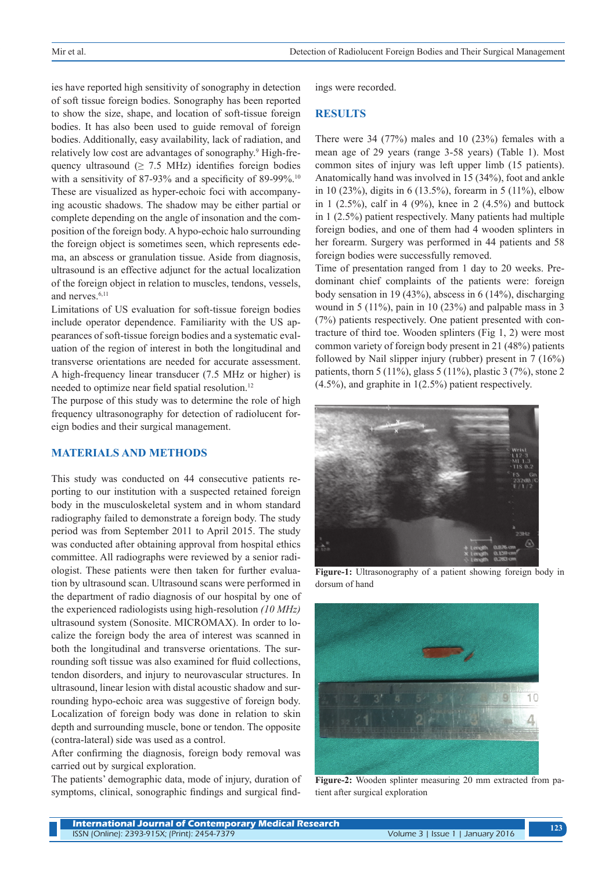ies have reported high sensitivity of sonography in detection of soft tissue foreign bodies. Sonography has been reported to show the size, shape, and location of soft-tissue foreign bodies. It has also been used to guide removal of foreign bodies. Additionally, easy availability, lack of radiation, and relatively low cost are advantages of sonography.<sup>9</sup> High-frequency ultrasound ( $\geq$  7.5 MHz) identifies foreign bodies with a sensitivity of 87-93% and a specificity of 89-99%.<sup>10</sup> These are visualized as hyper-echoic foci with accompanying acoustic shadows. The shadow may be either partial or complete depending on the angle of insonation and the composition of the foreign body. A hypo-echoic halo surrounding the foreign object is sometimes seen, which represents edema, an abscess or granulation tissue. Aside from diagnosis, ultrasound is an effective adjunct for the actual localization of the foreign object in relation to muscles, tendons, vessels, and nerves.<sup>6,11</sup>

Limitations of US evaluation for soft-tissue foreign bodies include operator dependence. Familiarity with the US appearances of soft-tissue foreign bodies and a systematic evaluation of the region of interest in both the longitudinal and transverse orientations are needed for accurate assessment. A high-frequency linear transducer (7.5 MHz or higher) is needed to optimize near field spatial resolution.<sup>12</sup>

The purpose of this study was to determine the role of high frequency ultrasonography for detection of radiolucent foreign bodies and their surgical management.

#### **MATERIALS AND METHODS**

This study was conducted on 44 consecutive patients reporting to our institution with a suspected retained foreign body in the musculoskeletal system and in whom standard radiography failed to demonstrate a foreign body. The study period was from September 2011 to April 2015. The study was conducted after obtaining approval from hospital ethics committee. All radiographs were reviewed by a senior radiologist. These patients were then taken for further evaluation by ultrasound scan. Ultrasound scans were performed in the department of radio diagnosis of our hospital by one of the experienced radiologists using high-resolution *(10 MHz)* ultrasound system (Sonosite. MICROMAX). In order to localize the foreign body the area of interest was scanned in both the longitudinal and transverse orientations. The surrounding soft tissue was also examined for fluid collections, tendon disorders, and injury to neurovascular structures. In ultrasound, linear lesion with distal acoustic shadow and surrounding hypo-echoic area was suggestive of foreign body. Localization of foreign body was done in relation to skin depth and surrounding muscle, bone or tendon. The opposite (contra-lateral) side was used as a control.

After confirming the diagnosis, foreign body removal was carried out by surgical exploration.

The patients' demographic data, mode of injury, duration of symptoms, clinical, sonographic findings and surgical findings were recorded.

## **RESULTS**

There were 34 (77%) males and 10 (23%) females with a mean age of 29 years (range 3-58 years) (Table 1). Most common sites of injury was left upper limb (15 patients). Anatomically hand was involved in 15 (34%), foot and ankle in 10 (23%), digits in 6 (13.5%), forearm in 5 (11%), elbow in 1 (2.5%), calf in 4 (9%), knee in 2 (4.5%) and buttock in 1 (2.5%) patient respectively. Many patients had multiple foreign bodies, and one of them had 4 wooden splinters in her forearm. Surgery was performed in 44 patients and 58 foreign bodies were successfully removed.

Time of presentation ranged from 1 day to 20 weeks. Predominant chief complaints of the patients were: foreign body sensation in 19 (43%), abscess in 6 (14%), discharging wound in 5 (11%), pain in 10 (23%) and palpable mass in 3 (7%) patients respectively. One patient presented with contracture of third toe. Wooden splinters (Fig 1, 2) were most common variety of foreign body present in 21 (48%) patients followed by Nail slipper injury (rubber) present in 7 (16%) patients, thorn 5 (11%), glass 5 (11%), plastic 3 (7%), stone 2 (4.5%), and graphite in 1(2.5%) patient respectively.



**Figure-1:** Ultrasonography of a patient showing foreign body in dorsum of hand



**Figure-2:** Wooden splinter measuring 20 mm extracted from patient after surgical exploration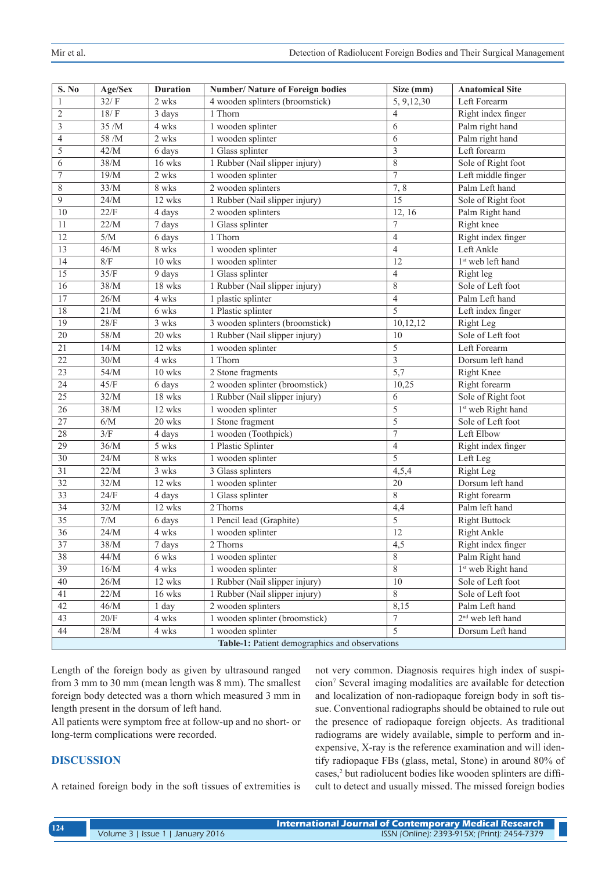| S. No                                          | Age/Sex | <b>Duration</b> | <b>Number/ Nature of Foreign bodies</b> | Size (mm)        | <b>Anatomical Site</b>         |
|------------------------------------------------|---------|-----------------|-----------------------------------------|------------------|--------------------------------|
| 1                                              | 32/F    | 2 wks           | 4 wooden splinters (broomstick)         | 5, 9, 12, 30     | Left Forearm                   |
| $\overline{2}$                                 | 18/F    | 3 days          | 1 Thorn                                 | $\overline{4}$   | Right index finger             |
| 3                                              | 35 /M   | 4 wks           | 1 wooden splinter                       | 6                | Palm right hand                |
| 4                                              | 58 /M   | 2 wks           | 1 wooden splinter                       | 6                | Palm right hand                |
| 5                                              | 42/M    | 6 days          | 1 Glass splinter                        | $\mathfrak{Z}$   | Left forearm                   |
| 6                                              | 38/M    | 16 wks          | 1 Rubber (Nail slipper injury)          | $\overline{8}$   | Sole of Right foot             |
| 7                                              | 19/M    | 2 wks           | 1 wooden splinter                       | $\overline{7}$   | Left middle finger             |
| $\,$ $\,$                                      | 33/M    | 8 wks           | 2 wooden splinters                      | 7, 8             | Palm Left hand                 |
| 9                                              | 24/M    | 12 wks          | 1 Rubber (Nail slipper injury)          | $\overline{15}$  | Sole of Right foot             |
| 10                                             | 22/F    | 4 days          | 2 wooden splinters                      | 12, 16           | Palm Right hand                |
| 11                                             | 22/M    | 7 days          | 1 Glass splinter                        | $\tau$           | Right knee                     |
| 12                                             | 5/M     | 6 days          | 1 Thorn                                 | $\overline{4}$   | Right index finger             |
| 13                                             | 46/M    | 8 wks           | 1 wooden splinter                       | $\overline{4}$   | Left Ankle                     |
| 14                                             | 8/F     | 10 wks          | 1 wooden splinter                       | 12               | 1 <sup>st</sup> web left hand  |
| 15                                             | 35/F    | 9 days          | 1 Glass splinter                        | $\overline{4}$   | Right leg                      |
| 16                                             | 38/M    | 18 wks          | 1 Rubber (Nail slipper injury)          | $\,$ 8 $\,$      | Sole of Left foot              |
| 17                                             | 26/M    | 4 wks           | 1 plastic splinter                      | $\overline{4}$   | Palm Left hand                 |
| 18                                             | 21/M    | 6 wks           | 1 Plastic splinter                      | 5                | Left index finger              |
| $\overline{19}$                                | 28/F    | 3 wks           | 3 wooden splinters (broomstick)         | 10,12,12         | Right Leg                      |
| $\overline{20}$                                | 58/M    | 20 wks          | 1 Rubber (Nail slipper injury)          | 10               | Sole of Left foot              |
| 21                                             | 14/M    | 12 wks          | 1 wooden splinter                       | $\overline{5}$   | Left Forearm                   |
| 22                                             | $30/M$  | 4 wks           | 1 Thorn                                 | $\mathfrak{Z}$   | Dorsum left hand               |
| $\overline{23}$                                | $54/M$  | $10$ wks        | 2 Stone fragments                       | $\overline{5,7}$ | Right Knee                     |
| $\overline{24}$                                | 45/F    | 6 days          | 2 wooden splinter (broomstick)          | 10,25            | Right forearm                  |
| 25                                             | 32/M    | 18 wks          | 1 Rubber (Nail slipper injury)          | 6                | Sole of Right foot             |
| 26                                             | 38/M    | 12 wks          | 1 wooden splinter                       | 5                | 1 <sup>st</sup> web Right hand |
| 27                                             | 6/M     | 20 wks          | 1 Stone fragment                        | 5                | Sole of Left foot              |
| $\overline{28}$                                | 3/F     | 4 days          | 1 wooden (Toothpick)                    | $\tau$           | Left Elbow                     |
| 29                                             | $36/M$  | 5 wks           | 1 Plastic Splinter                      | $\overline{4}$   | Right index finger             |
| 30                                             | 24/M    | 8 wks           | 1 wooden splinter                       | 5                | Left Leg                       |
| $\overline{31}$                                | 22/M    | 3 wks           | 3 Glass splinters                       | 4,5,4            | Right Leg                      |
| $\overline{32}$                                | 32/M    | 12 wks          | 1 wooden splinter                       | 20               | Dorsum left hand               |
| $\overline{33}$                                | 24/F    | 4 days          | 1 Glass splinter                        | $\overline{8}$   | Right forearm                  |
| 34                                             | 32/M    | 12 wks          | 2 Thorns                                | 4,4              | Palm left hand                 |
| 35                                             | 7/M     | 6 days          | 1 Pencil lead (Graphite)                | 5                | <b>Right Buttock</b>           |
| $\overline{36}$                                | 24/M    | 4 wks           | 1 wooden splinter                       | 12               | <b>Right Ankle</b>             |
| 37                                             | 38/M    | 7 days          | 2 Thorns                                | 4,5              | Right index finger             |
| 38                                             | 44/M    | 6 wks           | 1 wooden splinter                       | 8                | Palm Right hand                |
| 39                                             | 16/M    | 4 wks           | 1 wooden splinter                       | 8                | 1 <sup>st</sup> web Right hand |
| 40                                             | $26/M$  | 12 wks          | 1 Rubber (Nail slipper injury)          | $10\,$           | Sole of Left foot              |
| 41                                             | $22/M$  | $16$ wks        | 1 Rubber (Nail slipper injury)          | 8                | Sole of Left foot              |
| 42                                             | $46/M$  | 1 day           | 2 wooden splinters                      | 8,15             | Palm Left hand                 |
| 43                                             | $20/F$  | 4 wks           | 1 wooden splinter (broomstick)          | $\tau$           | 2 <sup>nd</sup> web left hand  |
| 44                                             | $28/M$  | 4 wks           | 1 wooden splinter                       | 5                | Dorsum Left hand               |
| Table-1: Patient demographics and observations |         |                 |                                         |                  |                                |

Length of the foreign body as given by ultrasound ranged from 3 mm to 30 mm (mean length was 8 mm). The smallest foreign body detected was a thorn which measured 3 mm in length present in the dorsum of left hand.

All patients were symptom free at follow-up and no short- or long-term complications were recorded.

# **DISCUSSION**

A retained foreign body in the soft tissues of extremities is

not very common. Diagnosis requires high index of suspicion7 Several imaging modalities are available for detection and localization of non-radiopaque foreign body in soft tissue. Conventional radiographs should be obtained to rule out the presence of radiopaque foreign objects. As traditional radiograms are widely available, simple to perform and inexpensive, X-ray is the reference examination and will identify radiopaque FBs (glass, metal, Stone) in around 80% of cases,<sup>2</sup> but radiolucent bodies like wooden splinters are difficult to detect and usually missed. The missed foreign bodies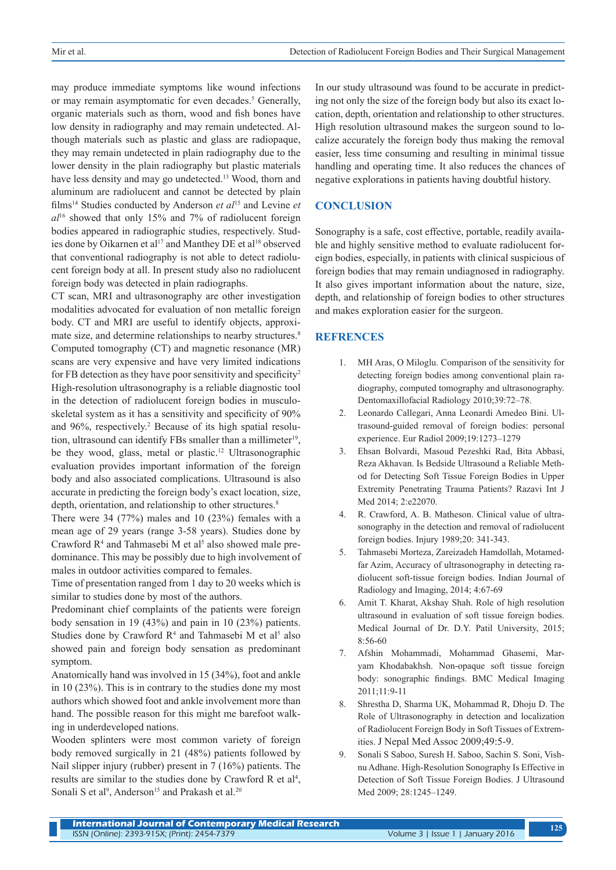may produce immediate symptoms like wound infections or may remain asymptomatic for even decades.<sup>5</sup> Generally, organic materials such as thorn, wood and fish bones have low density in radiography and may remain undetected. Although materials such as plastic and glass are radiopaque, they may remain undetected in plain radiography due to the lower density in the plain radiography but plastic materials have less density and may go undetected.<sup>13</sup> Wood, thorn and aluminum are radiolucent and cannot be detected by plain films14 Studies conducted by Anderson *et al*<sup>15</sup> and Levine *et al*<sup>16</sup> showed that only 15% and 7% of radiolucent foreign bodies appeared in radiographic studies, respectively. Studies done by Oikarnen et al<sup>17</sup> and Manthey DE et al<sup>18</sup> observed that conventional radiography is not able to detect radiolucent foreign body at all. In present study also no radiolucent foreign body was detected in plain radiographs.

CT scan, MRI and ultrasonography are other investigation modalities advocated for evaluation of non metallic foreign body. CT and MRI are useful to identify objects, approximate size, and determine relationships to nearby structures.<sup>8</sup> Computed tomography (CT) and magnetic resonance (MR) scans are very expensive and have very limited indications for FB detection as they have poor sensitivity and specificity<sup>2</sup> High-resolution ultrasonography is a reliable diagnostic tool in the detection of radiolucent foreign bodies in musculoskeletal system as it has a sensitivity and specificity of 90% and 96%, respectively.<sup>2</sup> Because of its high spatial resolution, ultrasound can identify FBs smaller than a millimeter<sup>19</sup>, be they wood, glass, metal or plastic.<sup>12</sup> Ultrasonographic evaluation provides important information of the foreign body and also associated complications. Ultrasound is also accurate in predicting the foreign body's exact location, size, depth, orientation, and relationship to other structures.<sup>8</sup>

There were 34 (77%) males and 10 (23%) females with a mean age of 29 years (range 3-58 years). Studies done by Crawford  $R<sup>4</sup>$  and Tahmasebi M et al<sup>5</sup> also showed male predominance. This may be possibly due to high involvement of males in outdoor activities compared to females.

Time of presentation ranged from 1 day to 20 weeks which is similar to studies done by most of the authors.

Predominant chief complaints of the patients were foreign body sensation in 19 (43%) and pain in 10 (23%) patients. Studies done by Crawford  $R<sup>4</sup>$  and Tahmasebi M et al<sup>5</sup> also showed pain and foreign body sensation as predominant symptom.

Anatomically hand was involved in 15 (34%), foot and ankle in 10 (23%). This is in contrary to the studies done my most authors which showed foot and ankle involvement more than hand. The possible reason for this might me barefoot walking in underdeveloped nations.

Wooden splinters were most common variety of foreign body removed surgically in 21 (48%) patients followed by Nail slipper injury (rubber) present in 7 (16%) patients. The results are similar to the studies done by Crawford R et  $al<sup>4</sup>$ , Sonali S et al<sup>9</sup>, Anderson<sup>15</sup> and Prakash et al.<sup>20</sup>

In our study ultrasound was found to be accurate in predicting not only the size of the foreign body but also its exact location, depth, orientation and relationship to other structures. High resolution ultrasound makes the surgeon sound to localize accurately the foreign body thus making the removal easier, less time consuming and resulting in minimal tissue handling and operating time. It also reduces the chances of negative explorations in patients having doubtful history.

# **CONCLUSION**

Sonography is a safe, cost effective, portable, readily available and highly sensitive method to evaluate radiolucent foreign bodies, especially, in patients with clinical suspicious of foreign bodies that may remain undiagnosed in radiography. It also gives important information about the nature, size, depth, and relationship of foreign bodies to other structures and makes exploration easier for the surgeon.

## **REFRENCES**

- 1. MH Aras, O Miloglu. Comparison of the sensitivity for detecting foreign bodies among conventional plain radiography, computed tomography and ultrasonography. Dentomaxillofacial Radiology 2010;39:72–78.
- 2. Leonardo Callegari, Anna Leonardi Amedeo Bini. Ultrasound-guided removal of foreign bodies: personal experience. Eur Radiol 2009;19:1273–1279
- 3. Ehsan Bolvardi, Masoud Pezeshki Rad, Bita Abbasi, Reza Akhavan. Is Bedside Ultrasound a Reliable Method for Detecting Soft Tissue Foreign Bodies in Upper Extremity Penetrating Trauma Patients? Razavi Int J Med 2014; 2:e22070.
- 4. R. Crawford, A. B. Matheson. Clinical value of ultrasonography in the detection and removal of radiolucent foreign bodies. Injury 1989;20: 341-343.
- 5. Tahmasebi Morteza, Zareizadeh Hamdollah, Motamedfar Azim, Accuracy of ultrasonography in detecting radiolucent soft-tissue foreign bodies. Indian Journal of Radiology and Imaging, 2014; 4:67-69
- 6. Amit T. Kharat, Akshay Shah. Role of high resolution ultrasound in evaluation of soft tissue foreign bodies. Medical Journal of Dr. D.Y. Patil University, 2015; 8:56-60
- 7. Afshin Mohammadi, Mohammad Ghasemi, Maryam Khodabakhsh. Non-opaque soft tissue foreign body: sonographic findings. BMC Medical Imaging 2011;11:9-11
- 8. Shrestha D, Sharma UK, Mohammad R, Dhoju D. The Role of Ultrasonography in detection and localization of Radiolucent Foreign Body in Soft Tissues of Extremities. J Nepal Med Assoc 2009;49:5-9.
- 9. Sonali S Saboo, Suresh H. Saboo, Sachin S. Soni, Vishnu Adhane. High-Resolution Sonography Is Effective in Detection of Soft Tissue Foreign Bodies. J Ultrasound Med 2009; 28:1245–1249.